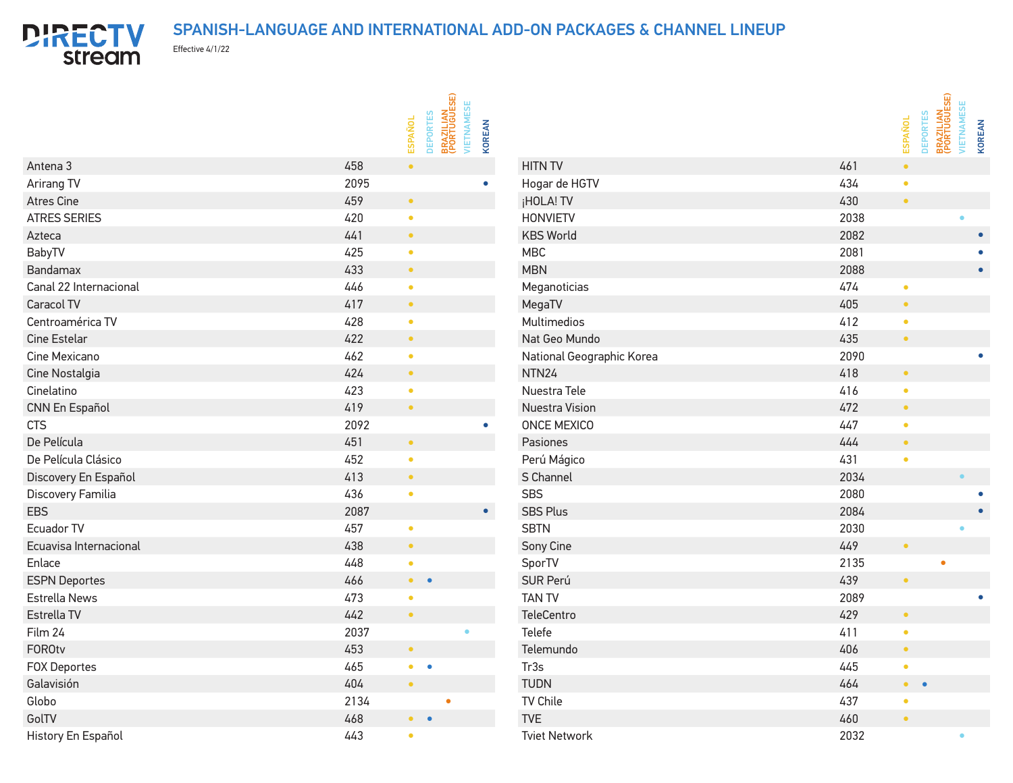## SPANISH-LANGUAGE AND INTERNATIONAL ADD-ON PACKAGES & CHANNEL LINEUP



Effective 4/1/22

|                        |      |                | BRAZILIAN<br>(PORTUGUESE)<br><b>/IETNAMESE</b> |
|------------------------|------|----------------|------------------------------------------------|
|                        |      | <b>ESPAÑOL</b> | <b>DEPORTES</b><br>KOREAN                      |
| Antena <sub>3</sub>    | 458  | $\bullet$      |                                                |
| Arirang TV             | 2095 |                |                                                |
| <b>Atres Cine</b>      | 459  | $\bullet$      |                                                |
| <b>ATRES SERIES</b>    | 420  | $\bullet$      |                                                |
| Azteca                 | 441  | $\bullet$      |                                                |
| BabyTV                 | 425  | $\bullet$      |                                                |
| Bandamax               | 433  | $\bullet$      |                                                |
| Canal 22 Internacional | 446  | $\bullet$      |                                                |
| Caracol TV             | 417  | $\bullet$      |                                                |
| Centroamérica TV       | 428  | $\bullet$      |                                                |
| Cine Estelar           | 422  | $\bullet$      |                                                |
| Cine Mexicano          | 462  | $\bullet$      |                                                |
| Cine Nostalgia         | 424  | $\bullet$      |                                                |
| Cinelatino             | 423  | $\bullet$      |                                                |
| CNN En Español         | 419  | $\bullet$      |                                                |
| <b>CTS</b>             | 2092 |                |                                                |
| De Película            | 451  | $\bullet$      |                                                |
| De Película Clásico    | 452  | $\bullet$      |                                                |
| Discovery En Español   | 413  | $\bullet$      |                                                |
| Discovery Familia      | 436  | $\bullet$      |                                                |
| <b>EBS</b>             | 2087 |                |                                                |
| Ecuador TV             | 457  | $\bullet$      |                                                |
| Ecuavisa Internacional | 438  | $\bullet$      |                                                |
| Enlace                 | 448  | $\bullet$      |                                                |
| <b>ESPN Deportes</b>   | 466  | $\bullet$      | $\bullet$                                      |
| <b>Estrella News</b>   | 473  | $\bullet$      |                                                |
| Estrella TV            | 442  | $\bullet$      |                                                |
| Film 24                | 2037 |                |                                                |
| <b>FOROtv</b>          | 453  | $\bullet$      |                                                |
| <b>FOX Deportes</b>    | 465  | $\bullet$      | $\bullet$                                      |
| Galavisión             | 404  | $\bullet$      |                                                |
| Globo                  | 2134 |                |                                                |
| GolTV                  | 468  |                |                                                |
| History En Español     | 443  | $\bullet$      |                                                |

|                           |      | ESPAÑOL   | <b>BRAZILIAN<br/>(PORTUGUESE)</b><br><b>DEPORTES</b> | VIETNAMESE | <b>KOREAN</b> |  |
|---------------------------|------|-----------|------------------------------------------------------|------------|---------------|--|
| <b>HITN TV</b>            | 461  | $\bullet$ |                                                      |            |               |  |
| Hogar de HGTV             | 434  | $\bullet$ |                                                      |            |               |  |
| ¡HOLA! TV                 | 430  | $\bullet$ |                                                      |            |               |  |
| <b>HONVIETV</b>           | 2038 |           |                                                      |            |               |  |
| <b>KBS World</b>          | 2082 |           |                                                      |            | $\bullet$     |  |
| <b>MBC</b>                | 2081 |           |                                                      |            |               |  |
| <b>MBN</b>                | 2088 |           |                                                      |            | $\bullet$     |  |
| Meganoticias              | 474  | $\bullet$ |                                                      |            |               |  |
| MegaTV                    | 405  | $\bullet$ |                                                      |            |               |  |
| <b>Multimedios</b>        | 412  | $\bullet$ |                                                      |            |               |  |
| Nat Geo Mundo             | 435  | $\bullet$ |                                                      |            |               |  |
| National Geographic Korea | 2090 |           |                                                      |            |               |  |
| NTN <sub>24</sub>         | 418  | $\bullet$ |                                                      |            |               |  |
| Nuestra Tele              | 416  | $\bullet$ |                                                      |            |               |  |
| Nuestra Vision            | 472  | $\bullet$ |                                                      |            |               |  |
| <b>ONCE MEXICO</b>        | 447  | $\bullet$ |                                                      |            |               |  |
| Pasiones                  | 444  | $\bullet$ |                                                      |            |               |  |
| Perú Mágico               | 431  | $\bullet$ |                                                      |            |               |  |
| S Channel                 | 2034 |           |                                                      |            |               |  |
| <b>SBS</b>                | 2080 |           |                                                      |            |               |  |
| <b>SBS Plus</b>           | 2084 |           |                                                      |            |               |  |
| <b>SBTN</b>               | 2030 |           |                                                      |            |               |  |
| Sony Cine                 | 449  | $\bullet$ |                                                      |            |               |  |
| SporTV                    | 2135 |           | $\bullet$                                            |            |               |  |
| SUR Perú                  | 439  | $\bullet$ |                                                      |            |               |  |
| <b>TAN TV</b>             | 2089 |           |                                                      |            |               |  |
| <b>TeleCentro</b>         | 429  | $\bullet$ |                                                      |            |               |  |
| Telefe                    | 411  | $\bullet$ |                                                      |            |               |  |
| Telemundo                 | 406  | $\bullet$ |                                                      |            |               |  |
| Tr3s                      | 445  | $\bullet$ |                                                      |            |               |  |
| <b>TUDN</b>               | 464  | $\bullet$ | $\bullet$                                            |            |               |  |
| TV Chile                  | 437  | $\bullet$ |                                                      |            |               |  |
| <b>TVE</b>                | 460  | $\bullet$ |                                                      |            |               |  |
| Tviet Network             | 2032 |           |                                                      |            |               |  |